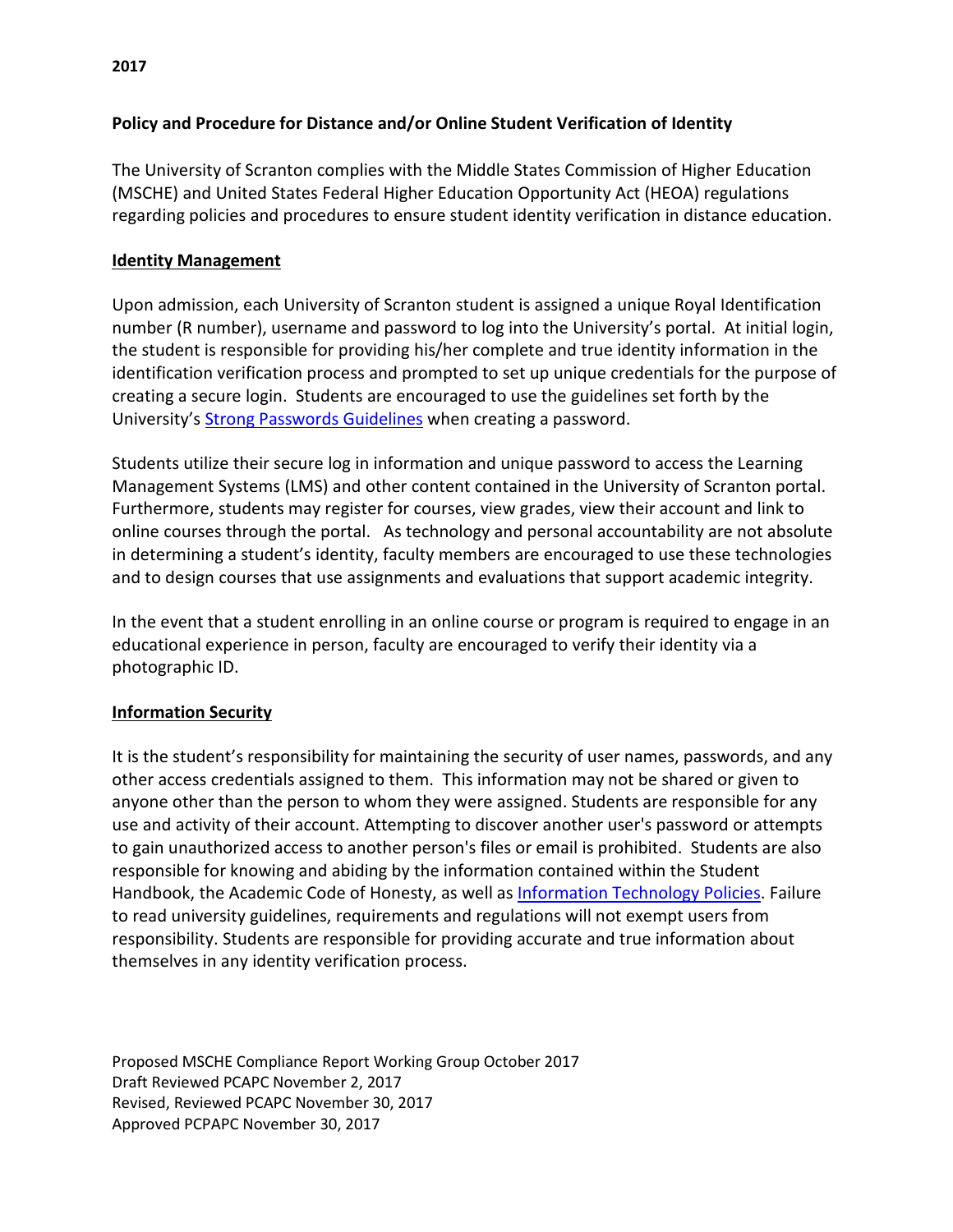# **Policy and Procedure for Distance and/or Online Student Verification of Identity**

The University of Scranton complies with the Middle States Commission of Higher Education (MSCHE) and United States Federal Higher Education Opportunity Act (HEOA) regulations regarding policies and procedures to ensure student identity verification in distance education.

## **Identity Management**

Upon admission, each University of Scranton student is assigned a unique Royal Identification number (R number), username and password to log into the University's portal. At initial login, the student is responsible for providing his/her complete and true identity information in the identification verification process and prompted to set up unique credentials for the purpose of creating a secure login. Students are encouraged to use the guidelines set forth by the University'[s Strong Passwords Guidelines](http://www.scranton.edu/information-technology/documents/policies/strong-password-2012.pdf) when creating a password.

Students utilize their secure log in information and unique password to access the Learning Management Systems (LMS) and other content contained in the University of Scranton portal. Furthermore, students may register for courses, view grades, view their account and link to online courses through the portal. As technology and personal accountability are not absolute in determining a student's identity, faculty members are encouraged to use these technologies and to design courses that use assignments and evaluations that support academic integrity.

In the event that a student enrolling in an online course or program is required to engage in an educational experience in person, faculty are encouraged to verify their identity via a photographic ID.

## **Information Security**

It is the student's responsibility for maintaining the security of user names, passwords, and any other access credentials assigned to them. This information may not be shared or given to anyone other than the person to whom they were assigned. Students are responsible for any use and activity of their account. Attempting to discover another user's password or attempts to gain unauthorized access to another person's files or email is prohibited. Students are also responsible for knowing and abiding by the information contained within the Student Handbook, the Academic Code of Honesty, as well as [Information Technology Policies.](http://www.scranton.edu/information-technology/policies.shtml) Failure to read university guidelines, requirements and regulations will not exempt users from responsibility. Students are responsible for providing accurate and true information about themselves in any identity verification process.

Proposed MSCHE Compliance Report Working Group October 2017 Draft Reviewed PCAPC November 2, 2017 Revised, Reviewed PCAPC November 30, 2017 Approved PCPAPC November 30, 2017